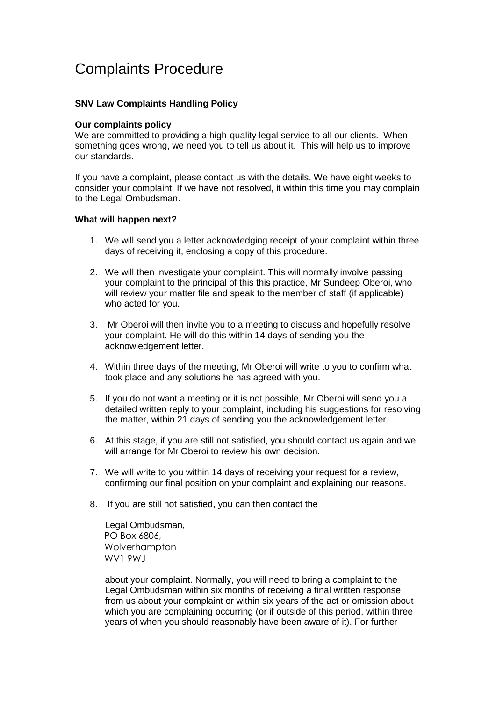## Complaints Procedure

## **SNV Law Complaints Handling Policy**

## **Our complaints policy**

We are committed to providing a high-quality legal service to all our clients. When something goes wrong, we need you to tell us about it. This will help us to improve our standards.

If you have a complaint, please contact us with the details. We have eight weeks to consider your complaint. If we have not resolved, it within this time you may complain to the Legal Ombudsman.

## **What will happen next?**

- 1. We will send you a letter acknowledging receipt of your complaint within three days of receiving it, enclosing a copy of this procedure.
- 2. We will then investigate your complaint. This will normally involve passing your complaint to the principal of this this practice, Mr Sundeep Oberoi, who will review your matter file and speak to the member of staff (if applicable) who acted for you.
- 3. Mr Oberoi will then invite you to a meeting to discuss and hopefully resolve your complaint. He will do this within 14 days of sending you the acknowledgement letter.
- 4. Within three days of the meeting, Mr Oberoi will write to you to confirm what took place and any solutions he has agreed with you.
- 5. If you do not want a meeting or it is not possible, Mr Oberoi will send you a detailed written reply to your complaint, including his suggestions for resolving the matter, within 21 days of sending you the acknowledgement letter.
- 6. At this stage, if you are still not satisfied, you should contact us again and we will arrange for Mr Oberoi to review his own decision.
- 7. We will write to you within 14 days of receiving your request for a review, confirming our final position on your complaint and explaining our reasons.
- 8. If you are still not satisfied, you can then contact the

Legal Ombudsman, PO Box 6806, Wolverhampton WV1 9WJ

about your complaint. Normally, you will need to bring a complaint to the Legal Ombudsman within six months of receiving a final written response from us about your complaint or within six years of the act or omission about which you are complaining occurring (or if outside of this period, within three years of when you should reasonably have been aware of it). For further